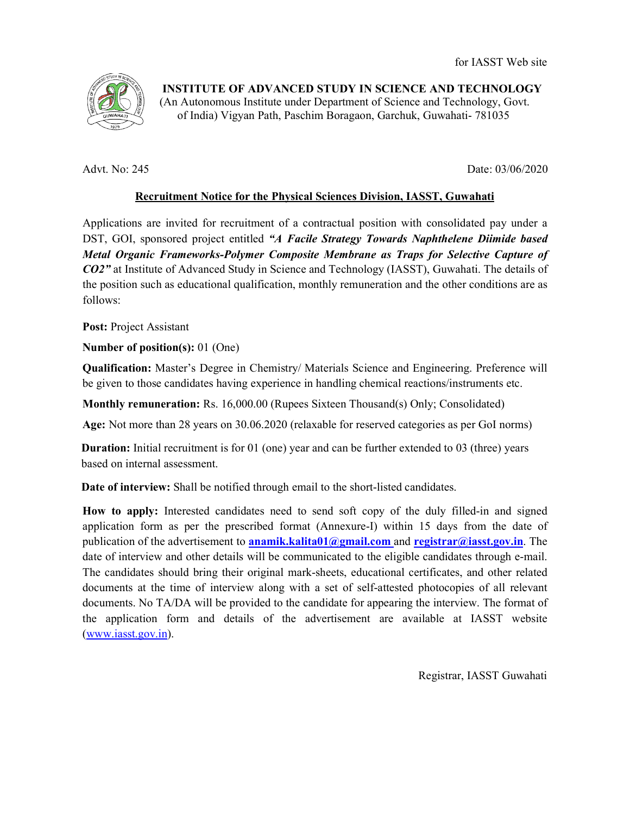

INSTITUTE OF ADVANCED STUDY IN SCIENCE AND TECHNOLOGY (An Autonomous Institute under Department of Science and Technology, Govt.<br>
of India) Vigyan Path, Paschim Boragaon, Garchuk, Guwahati- 781035 of India) Vigyan Path, Paschim Boragaon, Garchuk, Guwahati

Advt. No: 245

Date: Date: 03/06/2020

## Recruitment Notice for the Physical Sciences Division, IASST, Guwahati

Applications are invited for recruitment of a contractual position with consolidated pay under a DST, GOI, sponsored project entitled "A Facile Strategy Towards Naphthelene Diimide based Metal Organic Frameworks-Polymer Composite Membrane as Traps for Selective Capture of CO2" at Institute of Advanced Study in Science and Technology (IASST), Guwahati. The details of<br>the position such as educational qualification, monthly remuneration and the other conditions are as the position such as educational qualification, monthly remuneration and the other conditions are as follows:

Post: Project Assistant

Number of position(s): 01 (One)

Qualification: Master's Degree in Chemistry/ Materials Science and Engineering. Preference will be given to those candidates having experience in handling chemical reactions/instruments etc.

Monthly remuneration: Rs. 16,000.00 (Rupees Sixteen Thousand(s) Only; Consolidated)

Age: Not more than 28 years on 30.06.2020 (relaxable for reserved categories as per GoI norms)

**Duration:** Initial recruitment is for 01 (one) year and can be further extended to 03 (three) years based on internal assessment. categories as per GoI norms)<br>extended to 03 (three) years<br>d candidates.<br>f the duly filled-in and signed

Date of interview: Shall be notified through email to the short-listed candidates.

How to apply: Interested candidates need to send soft copy of the duly filled-in and signed application form as per the prescribed format (Annexure-I) within 15 days from the date of publication of the advertisement to **anamik.kalita01@gmail.com** and **registrar@iasst.gov.in**. The date of interview and other details will be communicated to the eligible candidates through e-mail. date of interview and other details will be communicated to the eligible candidates through e-mail.<br>The candidates should bring their original mark-sheets, educational certificates, and other related documents at the time of interview along with a set of self-attested photocopies of all relevant documents. No TA/DA will be provided to the candidate for appearing the interview. The format of the application form and details of the advertisement are available at IASST website<br>
(www.iasst.gov.in).<br>
Registrar, IASST Guwahati (www.iasst.gov.in). tional certificates, and other related<br>attested photocopies of all relevant<br>pearing the interview. The format of

Registrar, IASST Guwahati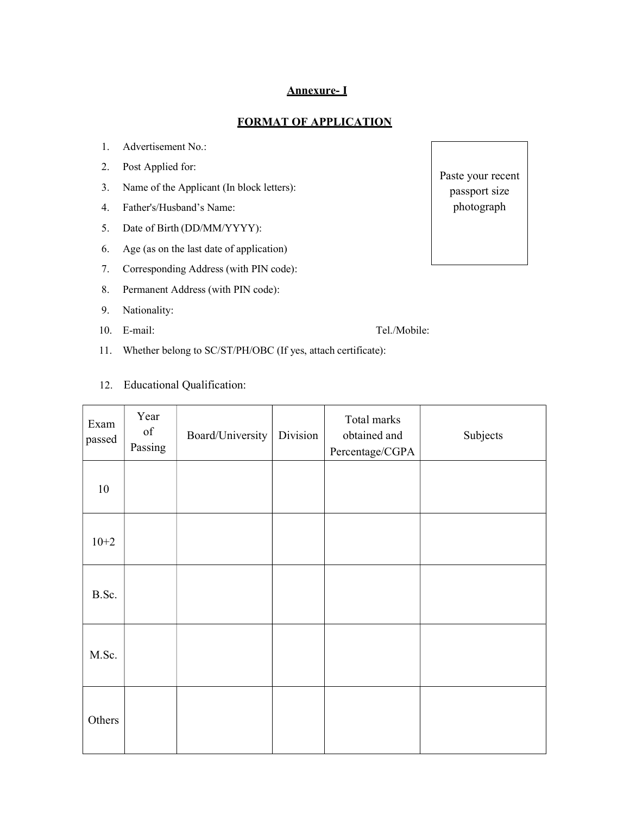## Annexure- I

## FORMAT OF APPLICATION

- 1. Advertisement No.:
- 2. Post Applied for:
- 3. Name of the Applicant (In block letters):
- 4. Father's/Husband's Name:
- 5. Date of Birth (DD/MM/YYYY):
- 6. Age (as on the last date of application)
- 7. Corresponding Address (with PIN code):
- 8. Permanent Address (with PIN code):
- 9. Nationality:
- 10. E-mail: Tel./Mobile:

- 11. Whether belong to SC/ST/PH/OBC (If yes, attach certificate):
- 12. Educational Qualification:

| Exam<br>passed | Year<br>$% \left( \left( \mathcal{A},\mathcal{A}\right) \right) =\left( \mathcal{A},\mathcal{A}\right)$ of<br>Passing | Board/University | Division | Total marks<br>obtained and<br>Percentage/CGPA | Subjects |
|----------------|-----------------------------------------------------------------------------------------------------------------------|------------------|----------|------------------------------------------------|----------|
| 10             |                                                                                                                       |                  |          |                                                |          |
| $10+2$         |                                                                                                                       |                  |          |                                                |          |
| B.Sc.          |                                                                                                                       |                  |          |                                                |          |
| M.Sc.          |                                                                                                                       |                  |          |                                                |          |
| Others         |                                                                                                                       |                  |          |                                                |          |

Paste your recent passport size photograph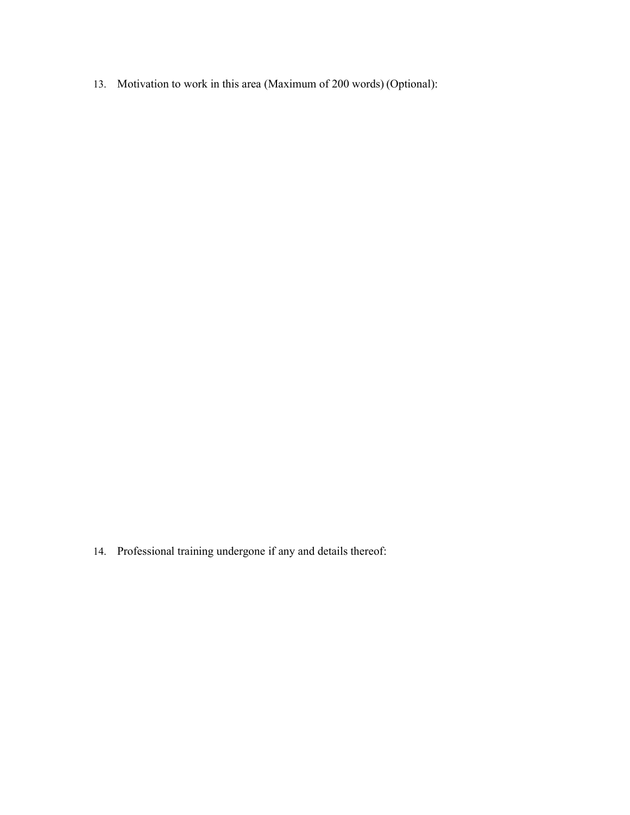13. Motivation to work in this area (Maximum of 200 words) (Optional):

14. Professional training undergone if any and details thereof: